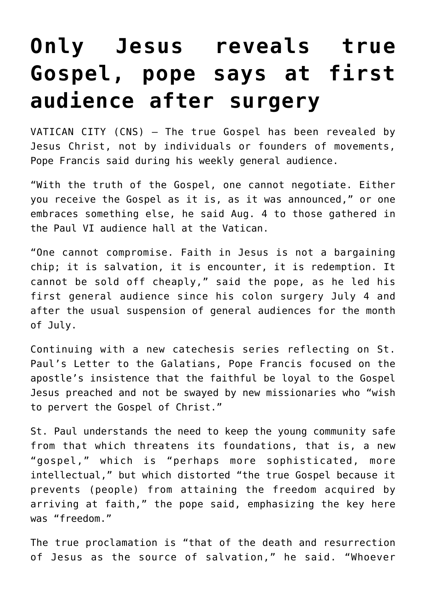## **[Only Jesus reveals true](https://www.osvnews.com/2021/08/04/only-jesus-reveals-true-gospel-pope-says-at-first-audience-after-surgery/) [Gospel, pope says at first](https://www.osvnews.com/2021/08/04/only-jesus-reveals-true-gospel-pope-says-at-first-audience-after-surgery/) [audience after surgery](https://www.osvnews.com/2021/08/04/only-jesus-reveals-true-gospel-pope-says-at-first-audience-after-surgery/)**

VATICAN CITY (CNS) — The true Gospel has been revealed by Jesus Christ, not by individuals or founders of movements, Pope Francis said during his weekly general audience.

"With the truth of the Gospel, one cannot negotiate. Either you receive the Gospel as it is, as it was announced," or one embraces something else, he said Aug. 4 to those gathered in the Paul VI audience hall at the Vatican.

"One cannot compromise. Faith in Jesus is not a bargaining chip; it is salvation, it is encounter, it is redemption. It cannot be sold off cheaply," said the pope, as he led his first general audience since his colon surgery July 4 and after the usual suspension of general audiences for the month of July.

Continuing with a new catechesis series reflecting on St. Paul's Letter to the Galatians, Pope Francis focused on the apostle's insistence that the faithful be loyal to the Gospel Jesus preached and not be swayed by new missionaries who "wish to pervert the Gospel of Christ."

St. Paul understands the need to keep the young community safe from that which threatens its foundations, that is, a new "gospel," which is "perhaps more sophisticated, more intellectual," but which distorted "the true Gospel because it prevents (people) from attaining the freedom acquired by arriving at faith," the pope said, emphasizing the key here was "freedom."

The true proclamation is "that of the death and resurrection of Jesus as the source of salvation," he said. "Whoever